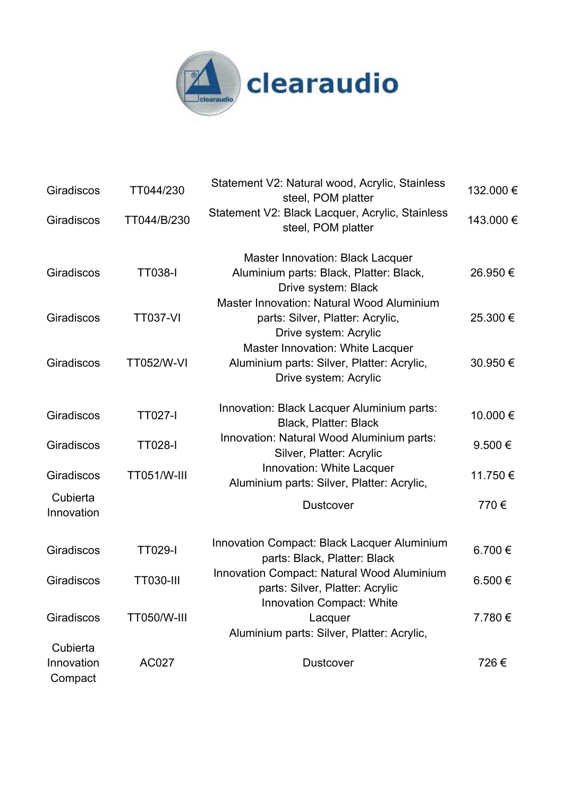

| Giradiscos                        | TT044/230          | Statement V2: Natural wood, Acrylic, Stainless<br>steel, POM platter                                       | 132.000 € |
|-----------------------------------|--------------------|------------------------------------------------------------------------------------------------------------|-----------|
| Giradiscos                        | TT044/B/230        | Statement V2: Black Lacquer, Acrylic, Stainless<br>steel, POM platter                                      | 143.000 € |
| Giradiscos                        | <b>TT038-I</b>     | Master Innovation: Black Lacquer<br>Aluminium parts: Black, Platter: Black,<br>Drive system: Black         | 26.950€   |
| Giradiscos                        | <b>TT037-VI</b>    | Master Innovation: Natural Wood Aluminium<br>parts: Silver, Platter: Acrylic,<br>Drive system: Acrylic     | 25.300 €  |
| Giradiscos                        | <b>TT052/W-VI</b>  | Master Innovation: White Lacquer<br>Aluminium parts: Silver, Platter: Acrylic,<br>Drive system: Acrylic    | 30.950€   |
| Giradiscos                        | <b>TT027-I</b>     | Innovation: Black Lacquer Aluminium parts:<br>Black, Platter: Black                                        | 10.000€   |
| Giradiscos                        | <b>TT028-I</b>     | Innovation: Natural Wood Aluminium parts:<br>Silver, Platter: Acrylic                                      | 9.500€    |
| Giradiscos                        | TT051/W-III        | Innovation: White Lacquer<br>Aluminium parts: Silver, Platter: Acrylic,                                    | 11.750€   |
| Cubierta<br>Innovation            |                    | <b>Dustcover</b>                                                                                           | 770€      |
| Giradiscos                        | <b>TT029-I</b>     | <b>Innovation Compact: Black Lacquer Aluminium</b><br>parts: Black, Platter: Black                         | 6.700€    |
| Giradiscos                        | <b>TT030-III</b>   | Innovation Compact: Natural Wood Aluminium<br>parts: Silver, Platter: Acrylic<br>Innovation Compact: White | 6.500€    |
| Giradiscos                        | <b>TT050/W-III</b> | Lacquer<br>Aluminium parts: Silver, Platter: Acrylic,                                                      | 7.780€    |
| Cubierta<br>Innovation<br>Compact | AC027              | <b>Dustcover</b>                                                                                           | 726€      |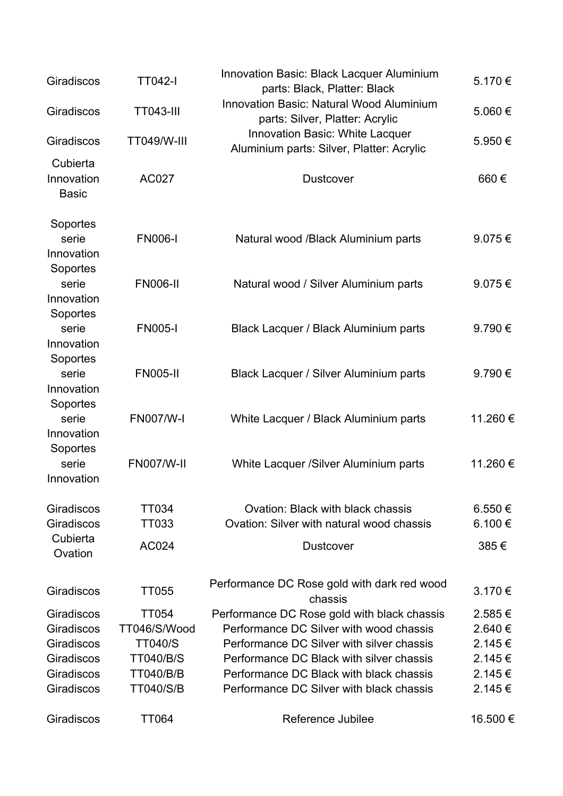| Giradiscos                                                                       | <b>TT042-I</b>                                                                                             | Innovation Basic: Black Lacquer Aluminium<br>parts: Black, Platter: Black                                                                                                                                                                                              | 5.170€                                                   |
|----------------------------------------------------------------------------------|------------------------------------------------------------------------------------------------------------|------------------------------------------------------------------------------------------------------------------------------------------------------------------------------------------------------------------------------------------------------------------------|----------------------------------------------------------|
| Giradiscos                                                                       | <b>TT043-III</b>                                                                                           | <b>Innovation Basic: Natural Wood Aluminium</b><br>parts: Silver, Platter: Acrylic                                                                                                                                                                                     | 5.060€                                                   |
| Giradiscos                                                                       | <b>TT049/W-III</b>                                                                                         | <b>Innovation Basic: White Lacquer</b><br>Aluminium parts: Silver, Platter: Acrylic                                                                                                                                                                                    | 5.950€                                                   |
| Cubierta<br>Innovation<br><b>Basic</b>                                           | <b>AC027</b>                                                                                               | <b>Dustcover</b>                                                                                                                                                                                                                                                       | 660€                                                     |
| Soportes<br>serie<br>Innovation                                                  | <b>FN006-I</b>                                                                                             | Natural wood /Black Aluminium parts                                                                                                                                                                                                                                    | 9.075€                                                   |
| Soportes<br>serie<br>Innovation                                                  | <b>FN006-II</b>                                                                                            | Natural wood / Silver Aluminium parts                                                                                                                                                                                                                                  | 9.075€                                                   |
| Soportes<br>serie<br>Innovation                                                  | <b>FN005-I</b>                                                                                             | Black Lacquer / Black Aluminium parts                                                                                                                                                                                                                                  | 9.790€                                                   |
| Soportes<br>serie<br>Innovation                                                  | <b>FN005-II</b>                                                                                            | Black Lacquer / Silver Aluminium parts                                                                                                                                                                                                                                 | 9.790€                                                   |
| Soportes<br>serie<br>Innovation                                                  | <b>FN007/W-I</b>                                                                                           | White Lacquer / Black Aluminium parts                                                                                                                                                                                                                                  | 11.260€                                                  |
| Soportes<br>serie<br>Innovation                                                  | <b>FN007/W-II</b>                                                                                          | White Lacquer /Silver Aluminium parts                                                                                                                                                                                                                                  | 11.260 €                                                 |
| Giradiscos<br>Giradiscos                                                         | TT034<br>TT033                                                                                             | Ovation: Black with black chassis<br>Ovation: Silver with natural wood chassis                                                                                                                                                                                         | 6.550 €<br>6.100€                                        |
| Cubierta<br>Ovation                                                              | AC024                                                                                                      | <b>Dustcover</b>                                                                                                                                                                                                                                                       | 385€                                                     |
| Giradiscos                                                                       | TT055                                                                                                      | Performance DC Rose gold with dark red wood<br>chassis                                                                                                                                                                                                                 | 3.170€                                                   |
| Giradiscos<br>Giradiscos<br>Giradiscos<br>Giradiscos<br>Giradiscos<br>Giradiscos | <b>TT054</b><br>TT046/S/Wood<br><b>TT040/S</b><br><b>TT040/B/S</b><br><b>TT040/B/B</b><br><b>TT040/S/B</b> | Performance DC Rose gold with black chassis<br>Performance DC Silver with wood chassis<br>Performance DC Silver with silver chassis<br>Performance DC Black with silver chassis<br>Performance DC Black with black chassis<br>Performance DC Silver with black chassis | 2.585€<br>2.640€<br>2.145€<br>2.145€<br>2.145€<br>2.145€ |
| Giradiscos                                                                       | <b>TT064</b>                                                                                               | Reference Jubilee                                                                                                                                                                                                                                                      | 16.500€                                                  |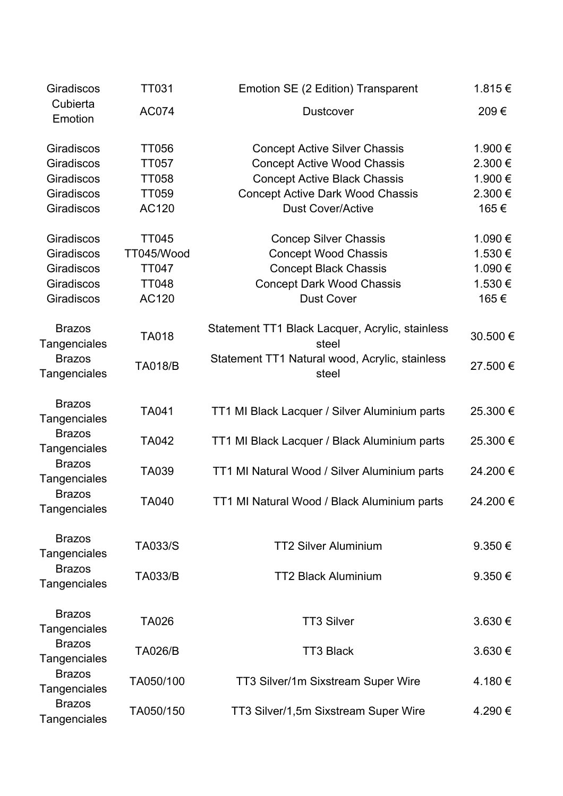| Giradiscos                                                         | <b>TT031</b>                                                          | Emotion SE (2 Edition) Transparent                                                                                                                                                       | 1.815€                                         |
|--------------------------------------------------------------------|-----------------------------------------------------------------------|------------------------------------------------------------------------------------------------------------------------------------------------------------------------------------------|------------------------------------------------|
| Cubierta<br>Emotion                                                | <b>AC074</b>                                                          | <b>Dustcover</b>                                                                                                                                                                         | 209€                                           |
| Giradiscos<br>Giradiscos<br>Giradiscos<br>Giradiscos<br>Giradiscos | <b>TT056</b><br><b>TT057</b><br><b>TT058</b><br><b>TT059</b><br>AC120 | <b>Concept Active Silver Chassis</b><br><b>Concept Active Wood Chassis</b><br><b>Concept Active Black Chassis</b><br><b>Concept Active Dark Wood Chassis</b><br><b>Dust Cover/Active</b> | 1.900 €<br>2.300€<br>1.900€<br>2.300 €<br>165€ |
| Giradiscos<br>Giradiscos<br>Giradiscos<br>Giradiscos<br>Giradiscos | <b>TT045</b><br>TT045/Wood<br><b>TT047</b><br><b>TT048</b><br>AC120   | <b>Concep Silver Chassis</b><br><b>Concept Wood Chassis</b><br><b>Concept Black Chassis</b><br><b>Concept Dark Wood Chassis</b><br><b>Dust Cover</b>                                     | 1.090€<br>1.530€<br>1.090€<br>1.530€<br>165€   |
| <b>Brazos</b><br>Tangenciales                                      | TA018                                                                 | Statement TT1 Black Lacquer, Acrylic, stainless<br>steel                                                                                                                                 | 30.500€                                        |
| <b>Brazos</b><br>Tangenciales                                      | <b>TA018/B</b>                                                        | Statement TT1 Natural wood, Acrylic, stainless<br>steel                                                                                                                                  | 27.500€                                        |
| <b>Brazos</b><br><b>Tangenciales</b>                               | TA041                                                                 | TT1 MI Black Lacquer / Silver Aluminium parts                                                                                                                                            | 25.300€                                        |
| <b>Brazos</b><br>Tangenciales                                      | TA042                                                                 | TT1 MI Black Lacquer / Black Aluminium parts                                                                                                                                             | 25.300€                                        |
| <b>Brazos</b><br>Tangenciales                                      | TA039                                                                 | TT1 MI Natural Wood / Silver Aluminium parts                                                                                                                                             | 24.200€                                        |
| <b>Brazos</b><br><b>Tangenciales</b>                               | TA040                                                                 | TT1 MI Natural Wood / Black Aluminium parts                                                                                                                                              | 24.200€                                        |
| <b>Brazos</b><br><b>Tangenciales</b>                               | <b>TA033/S</b>                                                        | <b>TT2 Silver Aluminium</b>                                                                                                                                                              | $9.350 \in$                                    |
| <b>Brazos</b><br><b>Tangenciales</b>                               | <b>TA033/B</b>                                                        | <b>TT2 Black Aluminium</b>                                                                                                                                                               | 9.350 $\epsilon$                               |
| <b>Brazos</b><br>Tangenciales                                      | <b>TA026</b>                                                          | <b>TT3 Silver</b>                                                                                                                                                                        | $3.630 \in$                                    |
| <b>Brazos</b><br>Tangenciales                                      | <b>TA026/B</b>                                                        | <b>TT3 Black</b>                                                                                                                                                                         | $3.630 \in$                                    |
| <b>Brazos</b><br>Tangenciales                                      | TA050/100                                                             | TT3 Silver/1m Sixstream Super Wire                                                                                                                                                       | 4.180 €                                        |
| <b>Brazos</b><br><b>Tangenciales</b>                               | TA050/150                                                             | TT3 Silver/1,5m Sixstream Super Wire                                                                                                                                                     | 4.290 €                                        |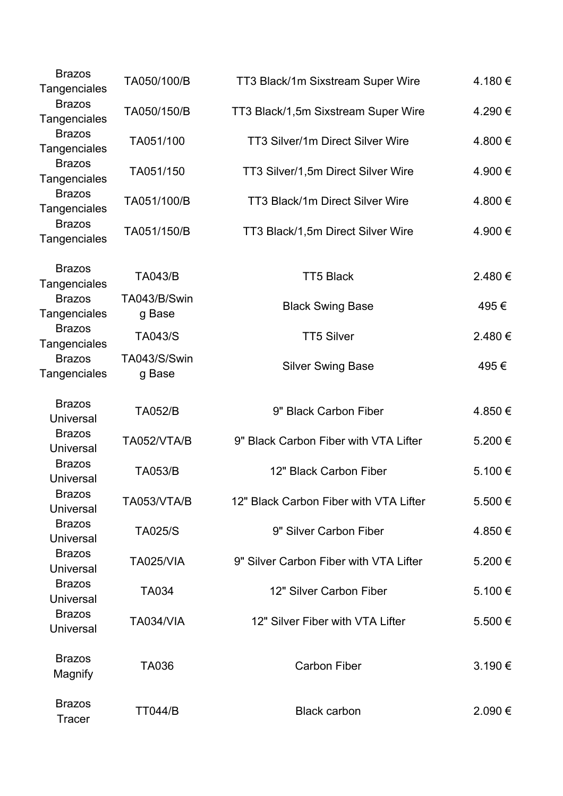| <b>Brazos</b><br>Tangenciales     | TA050/100/B            | TT3 Black/1m Sixstream Super Wire      | 4.180€  |
|-----------------------------------|------------------------|----------------------------------------|---------|
| <b>Brazos</b><br>Tangenciales     | TA050/150/B            | TT3 Black/1,5m Sixstream Super Wire    | 4.290€  |
| <b>Brazos</b><br>Tangenciales     | TA051/100              | TT3 Silver/1m Direct Silver Wire       | 4.800 € |
| <b>Brazos</b><br>Tangenciales     | TA051/150              | TT3 Silver/1,5m Direct Silver Wire     | 4.900 € |
| <b>Brazos</b><br>Tangenciales     | TA051/100/B            | TT3 Black/1m Direct Silver Wire        | 4.800€  |
| <b>Brazos</b><br>Tangenciales     | TA051/150/B            | TT3 Black/1,5m Direct Silver Wire      | 4.900 € |
| <b>Brazos</b><br>Tangenciales     | <b>TA043/B</b>         | <b>TT5 Black</b>                       | 2.480€  |
| <b>Brazos</b><br>Tangenciales     | TA043/B/Swin<br>g Base | <b>Black Swing Base</b>                | 495€    |
| <b>Brazos</b><br>Tangenciales     | <b>TA043/S</b>         | <b>TT5 Silver</b>                      | 2.480€  |
| <b>Brazos</b><br>Tangenciales     | TA043/S/Swin<br>g Base | <b>Silver Swing Base</b>               | 495€    |
| <b>Brazos</b><br>Universal        | <b>TA052/B</b>         | 9" Black Carbon Fiber                  | 4.850€  |
| <b>Brazos</b><br><b>Universal</b> | TA052/VTA/B            | 9" Black Carbon Fiber with VTA Lifter  | 5.200€  |
| <b>Brazos</b><br>Universal        | <b>TA053/B</b>         | 12" Black Carbon Fiber                 | 5.100 € |
| <b>Brazos</b><br><b>Universal</b> | TA053/VTA/B            | 12" Black Carbon Fiber with VTA Lifter | 5.500€  |
| <b>Brazos</b><br>Universal        | <b>TA025/S</b>         | 9" Silver Carbon Fiber                 | 4.850€  |
| <b>Brazos</b><br>Universal        | <b>TA025/VIA</b>       | 9" Silver Carbon Fiber with VTA Lifter | 5.200€  |
| <b>Brazos</b><br><b>Universal</b> | <b>TA034</b>           | 12" Silver Carbon Fiber                | 5.100€  |
| <b>Brazos</b><br><b>Universal</b> | <b>TA034/VIA</b>       | 12" Silver Fiber with VTA Lifter       | 5.500€  |
| <b>Brazos</b><br>Magnify          | TA036                  | <b>Carbon Fiber</b>                    | 3.190€  |
| <b>Brazos</b><br><b>Tracer</b>    | <b>TT044/B</b>         | <b>Black carbon</b>                    | 2.090€  |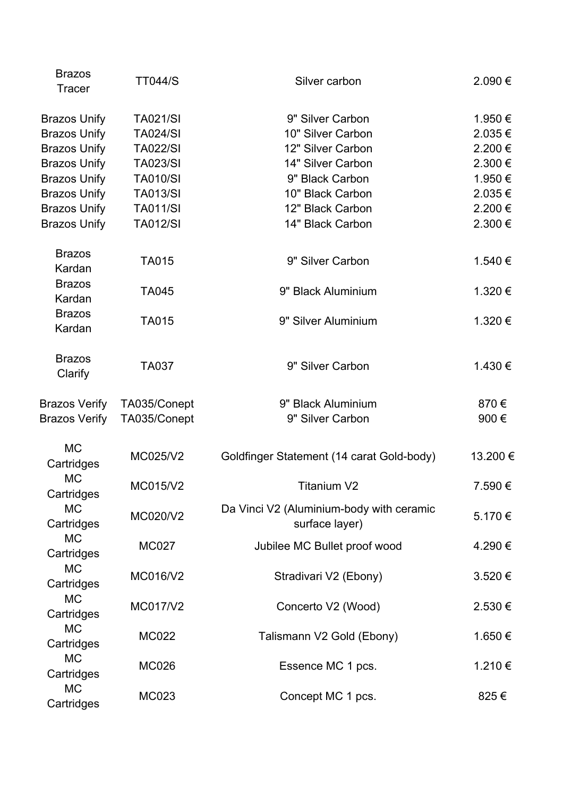| <b>Brazos</b><br><b>Tracer</b> | <b>TT044/S</b>  | Silver carbon                                              | 2.090€      |
|--------------------------------|-----------------|------------------------------------------------------------|-------------|
| <b>Brazos Unify</b>            | <b>TA021/SI</b> | 9" Silver Carbon                                           | 1.950€      |
| <b>Brazos Unify</b>            | <b>TA024/SI</b> | 10" Silver Carbon                                          | $2.035 \in$ |
| <b>Brazos Unify</b>            | <b>TA022/SI</b> | 12" Silver Carbon                                          | 2.200€      |
| <b>Brazos Unify</b>            | <b>TA023/SI</b> | 14" Silver Carbon                                          | 2.300€      |
| <b>Brazos Unify</b>            | <b>TA010/SI</b> | 9" Black Carbon                                            | 1.950€      |
| <b>Brazos Unify</b>            | <b>TA013/SI</b> | 10" Black Carbon                                           | 2.035€      |
| <b>Brazos Unify</b>            | <b>TA011/SI</b> | 12" Black Carbon                                           | 2.200€      |
| <b>Brazos Unify</b>            | <b>TA012/SI</b> | 14" Black Carbon                                           | $2.300 \in$ |
| <b>Brazos</b><br>Kardan        | <b>TA015</b>    | 9" Silver Carbon                                           | 1.540 €     |
| <b>Brazos</b><br>Kardan        | TA045           | 9" Black Aluminium                                         | 1.320 €     |
| <b>Brazos</b><br>Kardan        | <b>TA015</b>    | 9" Silver Aluminium                                        | 1.320 €     |
| <b>Brazos</b><br>Clarify       | <b>TA037</b>    | 9" Silver Carbon                                           | 1.430 €     |
| <b>Brazos Verify</b>           | TA035/Conept    | 9" Black Aluminium                                         | 870€        |
| <b>Brazos Verify</b>           | TA035/Conept    | 9" Silver Carbon                                           | 900€        |
| <b>MC</b><br>Cartridges        | MC025/V2        | Goldfinger Statement (14 carat Gold-body)                  | 13.200€     |
| <b>MC</b><br>Cartridges        | MC015/V2        | <b>Titanium V2</b>                                         | 7.590€      |
| <b>MC</b><br>Cartridges        | MC020/V2        | Da Vinci V2 (Aluminium-body with ceramic<br>surface layer) | 5.170 €     |
| <b>MC</b><br>Cartridges        | <b>MC027</b>    | Jubilee MC Bullet proof wood                               | 4.290€      |
| <b>MC</b><br>Cartridges        | MC016/V2        | Stradivari V2 (Ebony)                                      | 3.520€      |
| <b>MC</b><br>Cartridges        | MC017/V2        | Concerto V2 (Wood)                                         | 2.530 €     |
| <b>MC</b><br>Cartridges        | <b>MC022</b>    | Talismann V2 Gold (Ebony)                                  | 1.650€      |
| <b>MC</b><br>Cartridges        | <b>MC026</b>    | Essence MC 1 pcs.                                          | 1.210€      |
| <b>MC</b><br>Cartridges        | MC023           | Concept MC 1 pcs.                                          | 825€        |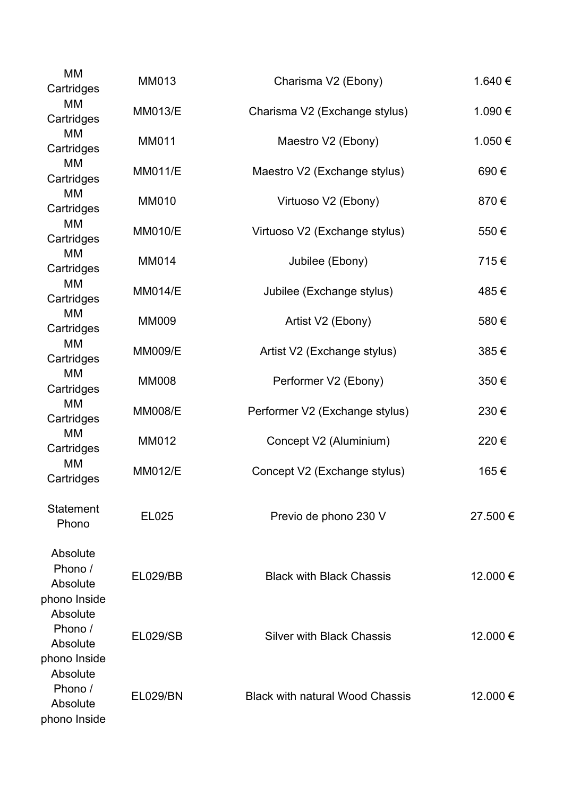| <b>MM</b><br>Cartridges                         | <b>MM013</b>    | Charisma V2 (Ebony)                    | 1.640 €  |
|-------------------------------------------------|-----------------|----------------------------------------|----------|
| МM<br>Cartridges                                | <b>MM013/E</b>  | Charisma V2 (Exchange stylus)          | 1.090€   |
| MM<br>Cartridges                                | <b>MM011</b>    | Maestro V2 (Ebony)                     | 1.050€   |
| MM<br>Cartridges                                | <b>MM011/E</b>  | Maestro V2 (Exchange stylus)           | 690€     |
| МM<br>Cartridges                                | <b>MM010</b>    | Virtuoso V2 (Ebony)                    | 870€     |
| MM<br>Cartridges                                | <b>MM010/E</b>  | Virtuoso V2 (Exchange stylus)          | 550€     |
| MM<br>Cartridges                                | <b>MM014</b>    | Jubilee (Ebony)                        | 715€     |
| MM<br>Cartridges                                | <b>MM014/E</b>  | Jubilee (Exchange stylus)              | 485€     |
| <b>MM</b><br>Cartridges                         | <b>MM009</b>    | Artist V2 (Ebony)                      | 580€     |
| MM<br>Cartridges                                | <b>MM009/E</b>  | Artist V2 (Exchange stylus)            | 385€     |
| MM<br>Cartridges                                | <b>MM008</b>    | Performer V2 (Ebony)                   | 350€     |
| MМ<br>Cartridges                                | <b>MM008/E</b>  | Performer V2 (Exchange stylus)         | 230€     |
| MM<br>Cartridges                                | <b>MM012</b>    | Concept V2 (Aluminium)                 | 220€     |
| MM<br>Cartridges                                | <b>MM012/E</b>  | Concept V2 (Exchange stylus)           | 165€     |
| <b>Statement</b><br>Phono                       | EL025           | Previo de phono 230 V                  | 27.500€  |
| Absolute<br>Phono /<br>Absolute<br>phono Inside | <b>EL029/BB</b> | <b>Black with Black Chassis</b>        | 12.000 € |
| Absolute<br>Phono /<br>Absolute<br>phono Inside | <b>EL029/SB</b> | <b>Silver with Black Chassis</b>       | 12.000 € |
| Absolute<br>Phono /<br>Absolute<br>phono Inside | <b>EL029/BN</b> | <b>Black with natural Wood Chassis</b> | 12.000 € |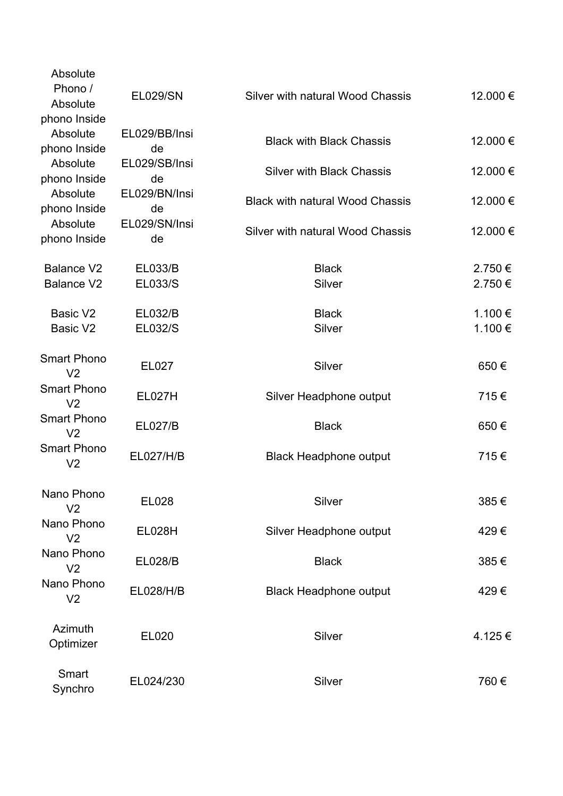| Absolute                             |                     |                                        |                   |
|--------------------------------------|---------------------|----------------------------------------|-------------------|
| Phono /<br>Absolute                  | <b>EL029/SN</b>     | Silver with natural Wood Chassis       | 12.000€           |
| phono Inside                         |                     |                                        |                   |
| Absolute                             | EL029/BB/Insi       |                                        |                   |
| phono Inside                         | de                  | <b>Black with Black Chassis</b>        | 12.000€           |
| Absolute                             | EL029/SB/Insi       | <b>Silver with Black Chassis</b>       | 12.000€           |
| phono Inside                         | de                  |                                        |                   |
| Absolute<br>phono Inside             | EL029/BN/Insi<br>de | <b>Black with natural Wood Chassis</b> | 12.000€           |
| Absolute                             | EL029/SN/Insi       |                                        |                   |
| phono Inside                         | de                  | Silver with natural Wood Chassis       | 12.000€           |
|                                      |                     |                                        |                   |
| <b>Balance V2</b>                    | <b>EL033/B</b>      | <b>Black</b>                           | 2.750 €<br>2.750€ |
| <b>Balance V2</b>                    | EL033/S             | Silver                                 |                   |
| Basic V <sub>2</sub>                 | <b>EL032/B</b>      | <b>Black</b>                           | 1.100 €           |
| Basic V2                             | EL032/S             | Silver                                 | 1.100€            |
|                                      |                     |                                        |                   |
| <b>Smart Phono</b>                   | EL027               | Silver                                 | 650€              |
| V <sub>2</sub><br><b>Smart Phono</b> |                     |                                        |                   |
| V <sub>2</sub>                       | <b>EL027H</b>       | Silver Headphone output                | 715€              |
| <b>Smart Phono</b>                   | <b>EL027/B</b>      | <b>Black</b>                           | 650€              |
| V <sub>2</sub>                       |                     |                                        |                   |
| <b>Smart Phono</b>                   | <b>EL027/H/B</b>    | <b>Black Headphone output</b>          | 715€              |
| V <sub>2</sub>                       |                     |                                        |                   |
| Nano Phono                           |                     |                                        |                   |
| V <sub>2</sub>                       | EL028               | Silver                                 | 385€              |
| Nano Phono                           | <b>EL028H</b>       | Silver Headphone output                | 429€              |
| V <sub>2</sub>                       |                     |                                        |                   |
| Nano Phono                           | <b>EL028/B</b>      | <b>Black</b>                           | 385€              |
| V <sub>2</sub><br>Nano Phono         |                     |                                        |                   |
| V <sub>2</sub>                       | <b>EL028/H/B</b>    | <b>Black Headphone output</b>          | 429€              |
|                                      |                     |                                        |                   |
| Azimuth                              | <b>EL020</b>        | Silver                                 | 4.125€            |
| Optimizer                            |                     |                                        |                   |
| Smart                                |                     |                                        |                   |
| Synchro                              | EL024/230           | Silver                                 | 760€              |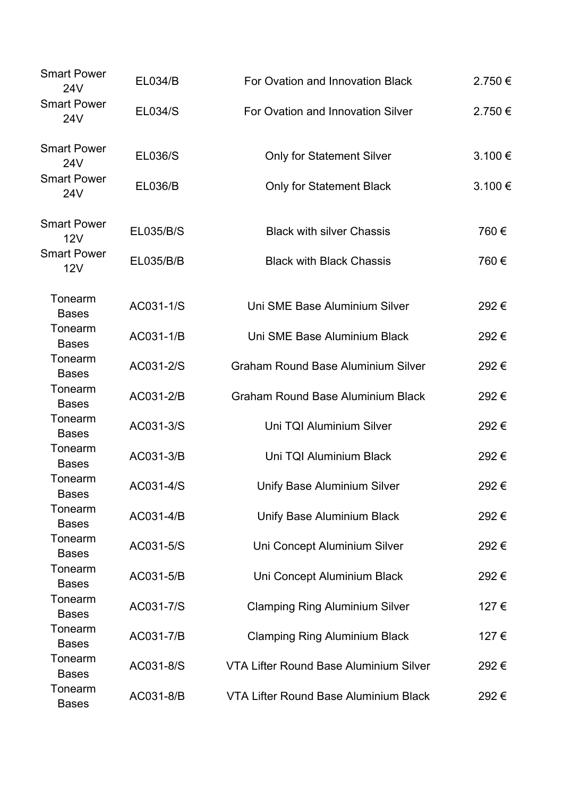| <b>Smart Power</b><br><b>24V</b> | <b>EL034/B</b> | For Ovation and Innovation Black          | 2.750€ |
|----------------------------------|----------------|-------------------------------------------|--------|
| <b>Smart Power</b><br>24V        | <b>EL034/S</b> | For Ovation and Innovation Silver         | 2.750€ |
| <b>Smart Power</b><br>24V        | <b>EL036/S</b> | <b>Only for Statement Silver</b>          | 3.100€ |
| <b>Smart Power</b><br>24V        | <b>EL036/B</b> | <b>Only for Statement Black</b>           | 3.100€ |
| <b>Smart Power</b><br>12V        | EL035/B/S      | <b>Black with silver Chassis</b>          | 760€   |
| <b>Smart Power</b><br>12V        | EL035/B/B      | <b>Black with Black Chassis</b>           | 760€   |
| Tonearm<br><b>Bases</b>          | AC031-1/S      | Uni SME Base Aluminium Silver             | 292€   |
| Tonearm<br><b>Bases</b>          | AC031-1/B      | Uni SME Base Aluminium Black              | 292€   |
| Tonearm<br><b>Bases</b>          | AC031-2/S      | <b>Graham Round Base Aluminium Silver</b> | 292€   |
| Tonearm<br><b>Bases</b>          | AC031-2/B      | <b>Graham Round Base Aluminium Black</b>  | 292€   |
| Tonearm<br><b>Bases</b>          | AC031-3/S      | Uni TQI Aluminium Silver                  | 292€   |
| Tonearm<br><b>Bases</b>          | AC031-3/B      | Uni TQI Aluminium Black                   | 292€   |
| Tonearm<br><b>Bases</b>          | AC031-4/S      | Unify Base Aluminium Silver               | 292€   |
| Tonearm<br><b>Bases</b>          | AC031-4/B      | <b>Unify Base Aluminium Black</b>         | 292€   |
| Tonearm<br><b>Bases</b>          | AC031-5/S      | Uni Concept Aluminium Silver              | 292€   |
| Tonearm<br><b>Bases</b>          | AC031-5/B      | Uni Concept Aluminium Black               | 292€   |
| Tonearm<br><b>Bases</b>          | AC031-7/S      | <b>Clamping Ring Aluminium Silver</b>     | 127€   |
| Tonearm<br><b>Bases</b>          | AC031-7/B      | <b>Clamping Ring Aluminium Black</b>      | 127 €  |
| Tonearm<br><b>Bases</b>          | AC031-8/S      | VTA Lifter Round Base Aluminium Silver    | 292€   |
| Tonearm<br><b>Bases</b>          | AC031-8/B      | VTA Lifter Round Base Aluminium Black     | 292€   |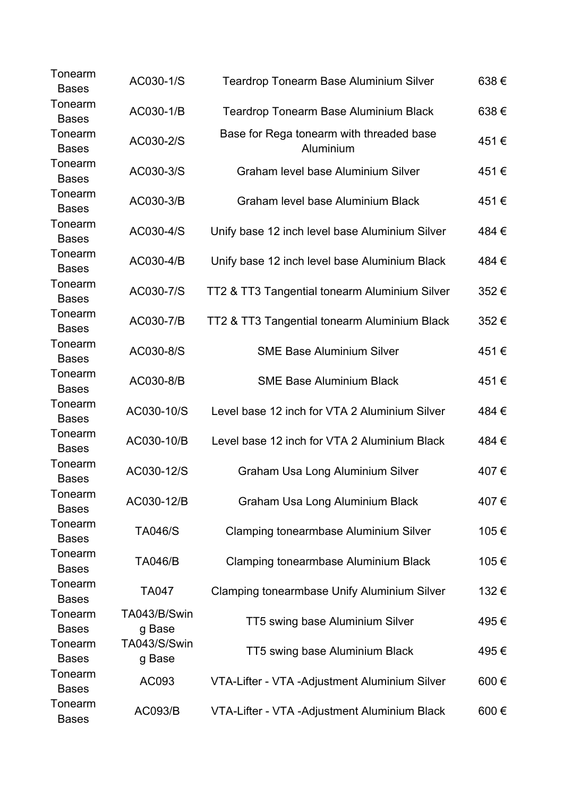| Tonearm<br><b>Bases</b> | AC030-1/S              | <b>Teardrop Tonearm Base Aluminium Silver</b>         | 638€ |
|-------------------------|------------------------|-------------------------------------------------------|------|
| Tonearm<br><b>Bases</b> | AC030-1/B              | <b>Teardrop Tonearm Base Aluminium Black</b>          | 638€ |
| Tonearm<br><b>Bases</b> | AC030-2/S              | Base for Rega tonearm with threaded base<br>Aluminium | 451€ |
| Tonearm<br><b>Bases</b> | AC030-3/S              | <b>Graham level base Aluminium Silver</b>             | 451€ |
| Tonearm<br><b>Bases</b> | AC030-3/B              | Graham level base Aluminium Black                     | 451€ |
| Tonearm<br><b>Bases</b> | AC030-4/S              | Unify base 12 inch level base Aluminium Silver        | 484€ |
| Tonearm<br><b>Bases</b> | AC030-4/B              | Unify base 12 inch level base Aluminium Black         | 484€ |
| Tonearm<br><b>Bases</b> | AC030-7/S              | TT2 & TT3 Tangential tonearm Aluminium Silver         | 352€ |
| Tonearm<br><b>Bases</b> | AC030-7/B              | TT2 & TT3 Tangential tonearm Aluminium Black          | 352€ |
| Tonearm<br><b>Bases</b> | AC030-8/S              | <b>SME Base Aluminium Silver</b>                      | 451€ |
| Tonearm<br><b>Bases</b> | AC030-8/B              | <b>SME Base Aluminium Black</b>                       | 451€ |
| Tonearm<br><b>Bases</b> | AC030-10/S             | Level base 12 inch for VTA 2 Aluminium Silver         | 484€ |
| Tonearm<br><b>Bases</b> | AC030-10/B             | Level base 12 inch for VTA 2 Aluminium Black          | 484€ |
| Tonearm<br><b>Bases</b> | AC030-12/S             | <b>Graham Usa Long Aluminium Silver</b>               | 407€ |
| Tonearm<br><b>Bases</b> | AC030-12/B             | Graham Usa Long Aluminium Black                       | 407€ |
| Tonearm<br><b>Bases</b> | <b>TA046/S</b>         | <b>Clamping tonearmbase Aluminium Silver</b>          | 105€ |
| Tonearm<br><b>Bases</b> | <b>TA046/B</b>         | <b>Clamping tonearmbase Aluminium Black</b>           | 105€ |
| Tonearm<br><b>Bases</b> | TA047                  | Clamping tonearmbase Unify Aluminium Silver           | 132€ |
| Tonearm<br><b>Bases</b> | TA043/B/Swin<br>g Base | TT5 swing base Aluminium Silver                       | 495€ |
| Tonearm<br><b>Bases</b> | TA043/S/Swin<br>g Base | TT5 swing base Aluminium Black                        | 495€ |
| Tonearm<br><b>Bases</b> | AC093                  | VTA-Lifter - VTA - Adjustment Aluminium Silver        | 600€ |
| Tonearm<br><b>Bases</b> | AC093/B                | VTA-Lifter - VTA -Adjustment Aluminium Black          | 600€ |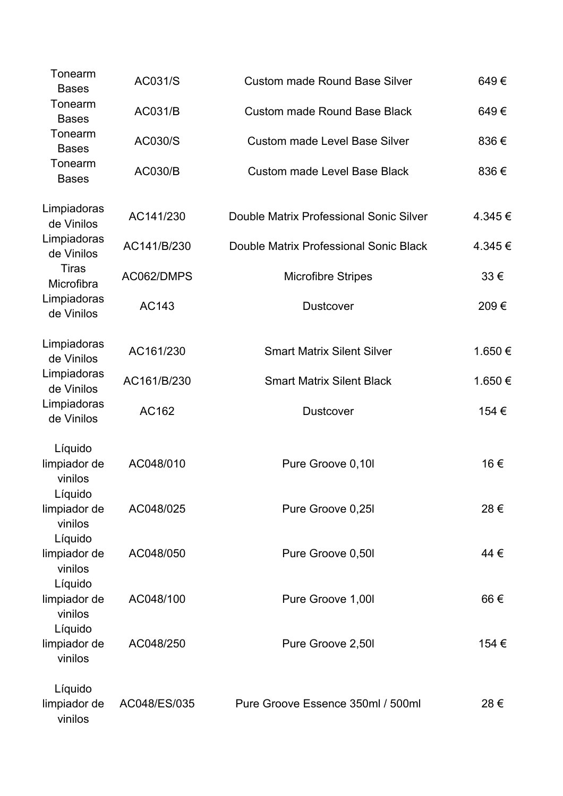| Tonearm<br><b>Bases</b>            | AC031/S        | <b>Custom made Round Base Silver</b>    | 649€   |
|------------------------------------|----------------|-----------------------------------------|--------|
| Tonearm<br><b>Bases</b>            | AC031/B        | <b>Custom made Round Base Black</b>     | 649€   |
| Tonearm<br><b>Bases</b>            | AC030/S        | <b>Custom made Level Base Silver</b>    | 836€   |
| Tonearm<br><b>Bases</b>            | <b>AC030/B</b> | <b>Custom made Level Base Black</b>     | 836€   |
| Limpiadoras<br>de Vinilos          | AC141/230      | Double Matrix Professional Sonic Silver | 4.345€ |
| Limpiadoras<br>de Vinilos          | AC141/B/230    | Double Matrix Professional Sonic Black  | 4.345€ |
| <b>Tiras</b><br>Microfibra         | AC062/DMPS     | <b>Microfibre Stripes</b>               | 33€    |
| Limpiadoras<br>de Vinilos          | AC143          | <b>Dustcover</b>                        | 209€   |
| Limpiadoras<br>de Vinilos          | AC161/230      | <b>Smart Matrix Silent Silver</b>       | 1.650€ |
| Limpiadoras<br>de Vinilos          | AC161/B/230    | <b>Smart Matrix Silent Black</b>        | 1.650€ |
| Limpiadoras<br>de Vinilos          | AC162          | <b>Dustcover</b>                        | 154 €  |
| Líquido<br>limpiador de<br>vinilos | AC048/010      | Pure Groove 0,10l                       | 16€    |
| Líquido<br>limpiador de<br>vinilos | AC048/025      | Pure Groove 0,25I                       | 28€    |
| Líquido<br>limpiador de<br>vinilos | AC048/050      | Pure Groove 0,50l                       | 44€    |
| Líquido<br>limpiador de<br>vinilos | AC048/100      | Pure Groove 1,00l                       | 66€    |
| Líquido<br>limpiador de<br>vinilos | AC048/250      | Pure Groove 2,50l                       | 154 €  |
| Líquido<br>limpiador de<br>vinilos | AC048/ES/035   | Pure Groove Essence 350ml / 500ml       | 28€    |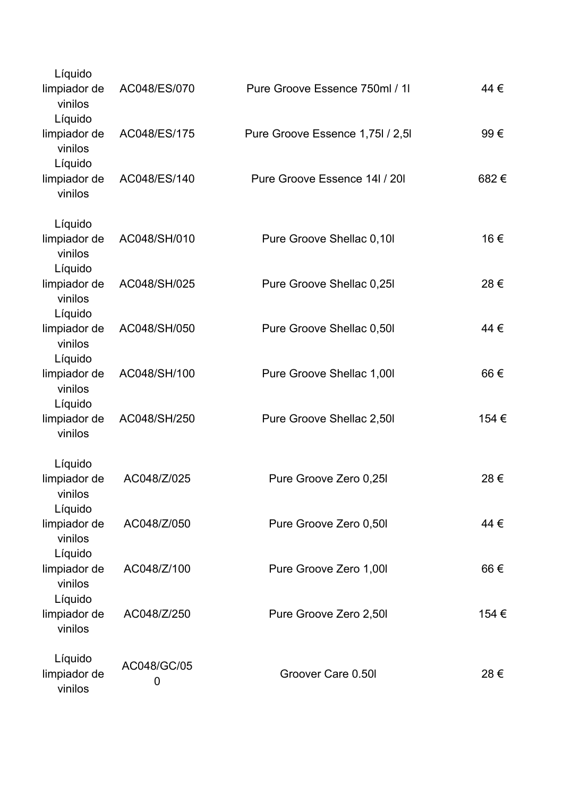| Líquido                            |                  |                                  |       |
|------------------------------------|------------------|----------------------------------|-------|
| limpiador de<br>vinilos            | AC048/ES/070     | Pure Groove Essence 750ml / 11   | 44 €  |
| Líquido<br>limpiador de<br>vinilos | AC048/ES/175     | Pure Groove Essence 1,75l / 2,5l | 99€   |
| Líquido<br>limpiador de<br>vinilos | AC048/ES/140     | Pure Groove Essence 14I / 20I    | 682€  |
| Líquido                            |                  |                                  |       |
| limpiador de<br>vinilos<br>Líquido | AC048/SH/010     | Pure Groove Shellac 0,10l        | 16€   |
| limpiador de<br>vinilos<br>Líquido | AC048/SH/025     | Pure Groove Shellac 0,25I        | 28€   |
| limpiador de<br>vinilos<br>Líquido | AC048/SH/050     | Pure Groove Shellac 0,50l        | 44 €  |
| limpiador de<br>vinilos<br>Líquido | AC048/SH/100     | Pure Groove Shellac 1,00l        | 66€   |
| limpiador de<br>vinilos            | AC048/SH/250     | Pure Groove Shellac 2,50l        | 154€  |
| Líquido<br>limpiador de            | AC048/Z/025      | Pure Groove Zero 0,25I           | 28€   |
| vinilos<br>Líquido                 |                  |                                  |       |
| limpiador de<br>vinilos            | AC048/Z/050      | Pure Groove Zero 0,50I           | 44 €  |
| Líquido<br>limpiador de<br>vinilos | AC048/Z/100      | Pure Groove Zero 1,00l           | 66€   |
| Líquido<br>limpiador de<br>vinilos | AC048/Z/250      | Pure Groove Zero 2,50I           | 154 € |
| Líquido<br>limpiador de<br>vinilos | AC048/GC/05<br>0 | Groover Care 0.50I               | 28€   |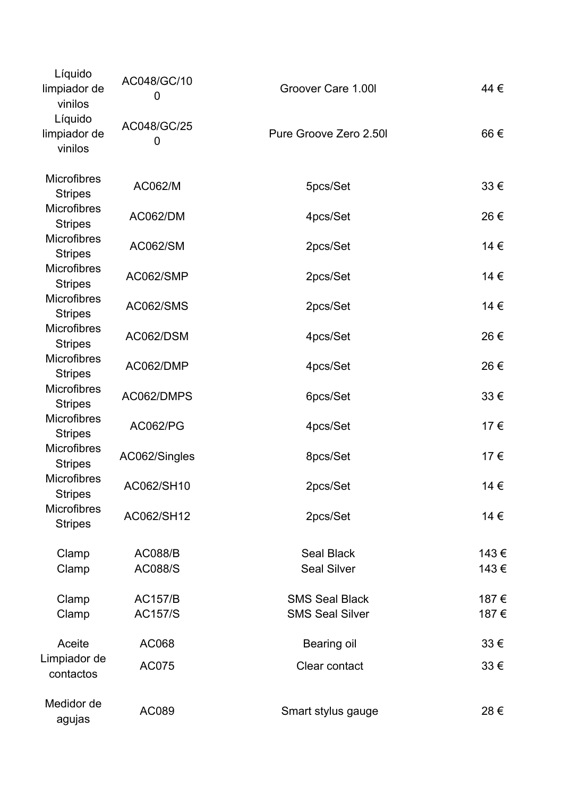| Líquido<br>limpiador de<br>vinilos   | AC048/GC/10<br>0 | Groover Care 1.00I                      | 44 € |
|--------------------------------------|------------------|-----------------------------------------|------|
| Líquido<br>limpiador de<br>vinilos   | AC048/GC/25<br>0 | Pure Groove Zero 2.50I                  | 66€  |
| <b>Microfibres</b><br><b>Stripes</b> | AC062/M          | 5pcs/Set                                | 33€  |
| <b>Microfibres</b><br><b>Stripes</b> | <b>AC062/DM</b>  | 4pcs/Set                                | 26€  |
| <b>Microfibres</b><br><b>Stripes</b> | <b>AC062/SM</b>  | 2pcs/Set                                | 14 € |
| <b>Microfibres</b><br><b>Stripes</b> | AC062/SMP        | 2pcs/Set                                | 14 € |
| Microfibres<br><b>Stripes</b>        | <b>AC062/SMS</b> | 2pcs/Set                                | 14 € |
| <b>Microfibres</b><br><b>Stripes</b> | AC062/DSM        | 4pcs/Set                                | 26€  |
| <b>Microfibres</b><br><b>Stripes</b> | AC062/DMP        | 4pcs/Set                                | 26€  |
| <b>Microfibres</b><br><b>Stripes</b> | AC062/DMPS       | 6pcs/Set                                | 33€  |
| <b>Microfibres</b><br><b>Stripes</b> | <b>AC062/PG</b>  | 4pcs/Set                                | 17€  |
| <b>Microfibres</b><br><b>Stripes</b> | AC062/Singles    | 8pcs/Set                                | 17€  |
| <b>Microfibres</b><br><b>Stripes</b> | AC062/SH10       | 2pcs/Set                                | 14 € |
| <b>Microfibres</b><br><b>Stripes</b> | AC062/SH12       | 2pcs/Set                                | 14 € |
| Clamp                                | <b>AC088/B</b>   | <b>Seal Black</b><br><b>Seal Silver</b> | 143€ |
| Clamp                                | <b>AC088/S</b>   |                                         | 143€ |
| Clamp                                | <b>AC157/B</b>   | <b>SMS Seal Black</b>                   | 187€ |
| Clamp                                | <b>AC157/S</b>   | <b>SMS Seal Silver</b>                  | 187€ |
| Aceite                               | AC068            | Bearing oil                             | 33€  |
| Limpiador de<br>contactos            | AC075            | Clear contact                           | 33€  |
| Medidor de<br>agujas                 | AC089            | Smart stylus gauge                      | 28€  |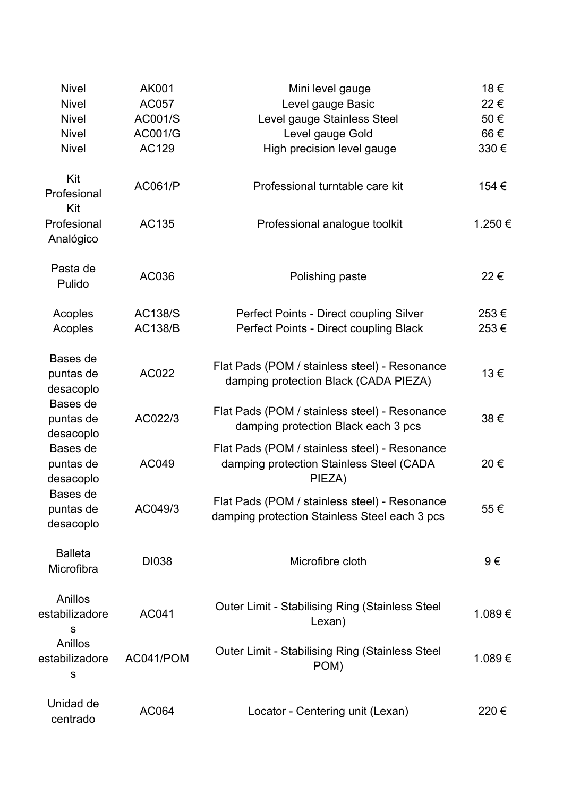| <b>Nivel</b>                       | AK001          | Mini level gauge                                                                                    | 18€    |
|------------------------------------|----------------|-----------------------------------------------------------------------------------------------------|--------|
| <b>Nivel</b>                       | AC057          | Level gauge Basic                                                                                   | 22€    |
| <b>Nivel</b>                       | AC001/S        | Level gauge Stainless Steel                                                                         | 50€    |
| <b>Nivel</b>                       | AC001/G        | Level gauge Gold                                                                                    | 66€    |
| <b>Nivel</b>                       | AC129          | High precision level gauge                                                                          | 330€   |
| Kit<br>Profesional<br>Kit          | <b>AC061/P</b> | Professional turntable care kit                                                                     | 154 €  |
| Profesional<br>Analógico           | AC135          | Professional analogue toolkit                                                                       | 1.250€ |
| Pasta de<br>Pulido                 | AC036          | Polishing paste                                                                                     | 22€    |
| Acoples                            | <b>AC138/S</b> | Perfect Points - Direct coupling Silver                                                             | 253€   |
| Acoples                            | <b>AC138/B</b> | Perfect Points - Direct coupling Black                                                              | 253€   |
| Bases de<br>puntas de<br>desacoplo | AC022          | Flat Pads (POM / stainless steel) - Resonance<br>damping protection Black (CADA PIEZA)              | 13€    |
| Bases de<br>puntas de<br>desacoplo | AC022/3        | Flat Pads (POM / stainless steel) - Resonance<br>damping protection Black each 3 pcs                | 38€    |
| Bases de<br>puntas de<br>desacoplo | AC049          | Flat Pads (POM / stainless steel) - Resonance<br>damping protection Stainless Steel (CADA<br>PIEZA) | 20€    |
| Bases de<br>puntas de<br>desacoplo | AC049/3        | Flat Pads (POM / stainless steel) - Resonance<br>damping protection Stainless Steel each 3 pcs      | 55€    |
| <b>Balleta</b><br>Microfibra       | <b>DI038</b>   | Microfibre cloth                                                                                    | 9€     |
| Anillos<br>estabilizadore<br>S     | AC041          | <b>Outer Limit - Stabilising Ring (Stainless Steel</b><br>Lexan)                                    | 1.089€ |
| Anillos<br>estabilizadore<br>S     | AC041/POM      | <b>Outer Limit - Stabilising Ring (Stainless Steel</b><br>POM)                                      | 1.089€ |
| Unidad de<br>centrado              | AC064          | Locator - Centering unit (Lexan)                                                                    | 220€   |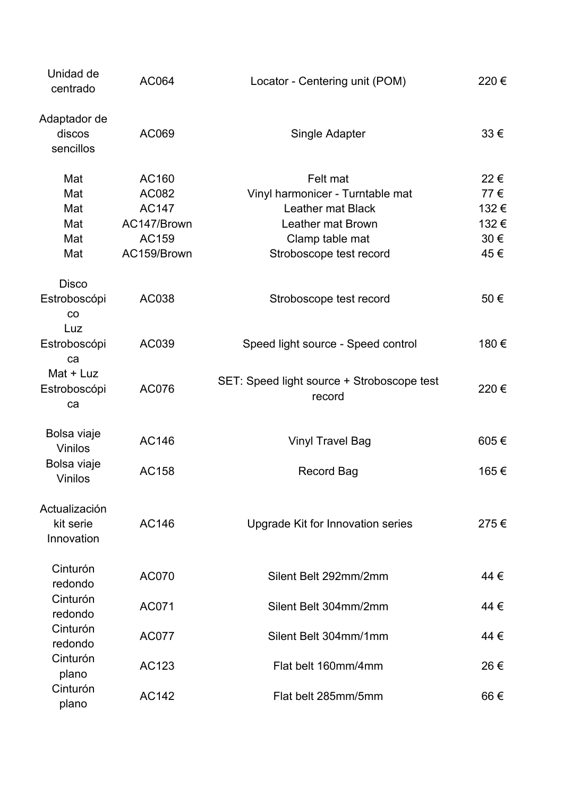| Unidad de<br>centrado                    | AC064        | Locator - Centering unit (POM)                       | 220€     |
|------------------------------------------|--------------|------------------------------------------------------|----------|
| Adaptador de<br>discos<br>sencillos      | AC069        | Single Adapter                                       | $33 \in$ |
| Mat                                      | AC160        | Felt mat                                             | 22€      |
| Mat                                      | AC082        | Vinyl harmonicer - Turntable mat                     | 77€      |
| Mat                                      | <b>AC147</b> | <b>Leather mat Black</b>                             | 132€     |
| Mat                                      | AC147/Brown  | Leather mat Brown                                    | 132€     |
| Mat                                      | AC159        | Clamp table mat                                      | 30€      |
| Mat                                      | AC159/Brown  | Stroboscope test record                              | 45€      |
| <b>Disco</b><br>Estroboscópi<br>CO       | AC038        | Stroboscope test record                              | 50€      |
| Luz<br>Estroboscópi<br>ca                | AC039        | Speed light source - Speed control                   | 180€     |
| Mat + Luz<br>Estroboscópi<br>ca          | AC076        | SET: Speed light source + Stroboscope test<br>record | 220€     |
| Bolsa viaje<br><b>Vinilos</b>            | AC146        | <b>Vinyl Travel Bag</b>                              | 605€     |
| Bolsa viaje<br><b>Vinilos</b>            | AC158        | <b>Record Bag</b>                                    | 165€     |
| Actualización<br>kit serie<br>Innovation | AC146        | Upgrade Kit for Innovation series                    | 275€     |
| Cinturón<br>redondo                      | <b>AC070</b> | Silent Belt 292mm/2mm                                | 44 €     |
| Cinturón<br>redondo                      | AC071        | Silent Belt 304mm/2mm                                | 44 €     |
| Cinturón<br>redondo                      | <b>AC077</b> | Silent Belt 304mm/1mm                                | 44 €     |
| Cinturón<br>plano                        | AC123        | Flat belt 160mm/4mm                                  | 26€      |
| Cinturón<br>plano                        | AC142        | Flat belt 285mm/5mm                                  | 66€      |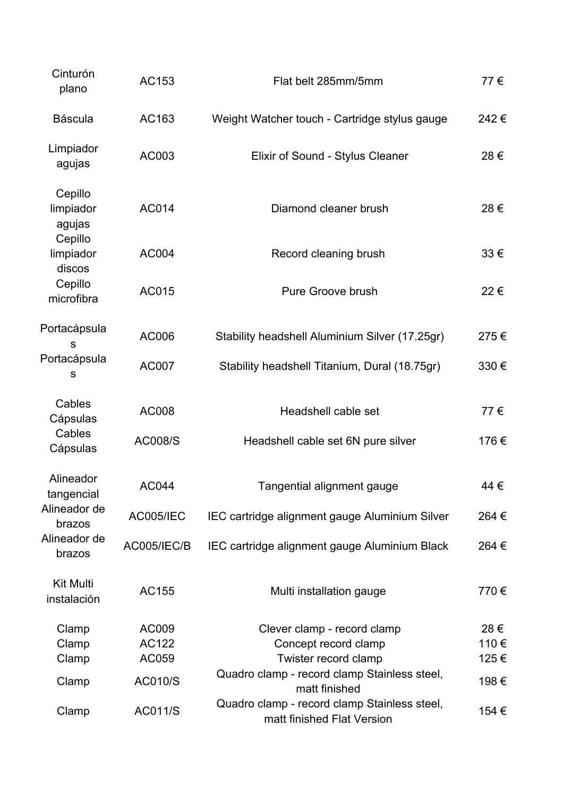| Cinturón<br>plano                         | AC153            | Flat belt 285mm/5mm                                                        | 77€   |
|-------------------------------------------|------------------|----------------------------------------------------------------------------|-------|
| <b>Báscula</b>                            | AC163            | Weight Watcher touch - Cartridge stylus gauge                              | 242€  |
| Limpiador<br>agujas                       | AC003            | Elixir of Sound - Stylus Cleaner                                           | 28€   |
| Cepillo<br>limpiador<br>agujas<br>Cepillo | AC014            | Diamond cleaner brush                                                      | 28€   |
| limpiador<br>discos                       | AC004            | Record cleaning brush                                                      | 33€   |
| Cepillo<br>microfibra                     | AC015            | Pure Groove brush                                                          | 22€   |
| Portacápsula<br>$\mathsf{s}$              | AC006            | Stability headshell Aluminium Silver (17.25gr)                             | 275€  |
| Portacápsula<br>S                         | <b>AC007</b>     | Stability headshell Titanium, Dural (18.75gr)                              | 330€  |
| Cables<br>Cápsulas                        | AC008            | Headshell cable set                                                        | 77€   |
| Cables<br>Cápsulas                        | <b>AC008/S</b>   | Headshell cable set 6N pure silver                                         | 176€  |
| Alineador<br>tangencial                   | <b>AC044</b>     | Tangential alignment gauge                                                 | 44 €  |
| Alineador de<br>brazos                    | <b>AC005/IEC</b> | IEC cartridge alignment gauge Aluminium Silver                             | 264 € |
| Alineador de<br>brazos                    | AC005/IEC/B      | IEC cartridge alignment gauge Aluminium Black                              | 264 € |
| <b>Kit Multi</b><br>instalación           | AC155            | Multi installation gauge                                                   | 770€  |
| Clamp                                     | AC009            | Clever clamp - record clamp                                                | 28€   |
| Clamp                                     | AC122            | Concept record clamp                                                       | 110€  |
| Clamp                                     | AC059            | Twister record clamp                                                       | 125€  |
| Clamp                                     | <b>AC010/S</b>   | Quadro clamp - record clamp Stainless steel,<br>matt finished              | 198€  |
| Clamp                                     | <b>AC011/S</b>   | Quadro clamp - record clamp Stainless steel,<br>matt finished Flat Version | 154 € |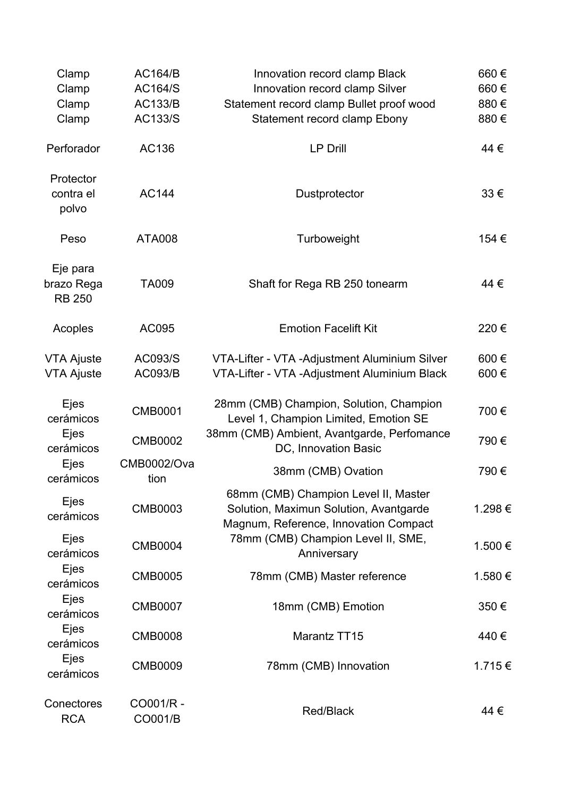| Clamp<br>Clamp                          | <b>AC164/B</b><br><b>AC164/S</b> | Innovation record clamp Black<br>Innovation record clamp Silver                                                         | 660€<br>660€ |
|-----------------------------------------|----------------------------------|-------------------------------------------------------------------------------------------------------------------------|--------------|
| Clamp<br>Clamp                          | <b>AC133/B</b><br>AC133/S        | Statement record clamp Bullet proof wood<br>Statement record clamp Ebony                                                | 880€<br>880€ |
| Perforador                              | AC136                            | <b>LP Drill</b>                                                                                                         | 44 €         |
| Protector<br>contra el<br>polvo         | <b>AC144</b>                     | Dustprotector                                                                                                           | 33€          |
| Peso                                    | <b>ATA008</b>                    | Turboweight                                                                                                             | 154 €        |
| Eje para<br>brazo Rega<br><b>RB 250</b> | <b>TA009</b>                     | Shaft for Rega RB 250 tonearm                                                                                           | 44 €         |
| Acoples                                 | AC095                            | <b>Emotion Facelift Kit</b>                                                                                             | 220€         |
| <b>VTA Ajuste</b><br><b>VTA Ajuste</b>  | AC093/S<br><b>AC093/B</b>        | VTA-Lifter - VTA - Adjustment Aluminium Silver<br>VTA-Lifter - VTA - Adjustment Aluminium Black                         | 600€<br>600€ |
| Ejes<br>cerámicos                       | <b>CMB0001</b>                   | 28mm (CMB) Champion, Solution, Champion<br>Level 1, Champion Limited, Emotion SE                                        | 700€         |
| Ejes<br>cerámicos                       | <b>CMB0002</b>                   | 38mm (CMB) Ambient, Avantgarde, Perfomance<br>DC, Innovation Basic                                                      | 790€         |
| Ejes<br>cerámicos                       | <b>CMB0002/Ova</b><br>tion       | 38mm (CMB) Ovation                                                                                                      | 790€         |
| Ejes<br>cerámicos                       | <b>CMB0003</b>                   | 68mm (CMB) Champion Level II, Master<br>Solution, Maximun Solution, Avantgarde<br>Magnum, Reference, Innovation Compact | 1.298€       |
| Ejes<br>cerámicos                       | <b>CMB0004</b>                   | 78mm (CMB) Champion Level II, SME,<br>Anniversary                                                                       | 1.500€       |
| Ejes<br>cerámicos                       | <b>CMB0005</b>                   | 78mm (CMB) Master reference                                                                                             | 1.580€       |
| Ejes<br>cerámicos                       | <b>CMB0007</b>                   | 18mm (CMB) Emotion                                                                                                      | 350€         |
| Ejes<br>cerámicos                       | <b>CMB0008</b>                   | Marantz TT15                                                                                                            | 440€         |
| <b>Ejes</b><br>cerámicos                | <b>CMB0009</b>                   | 78mm (CMB) Innovation                                                                                                   | 1.715€       |
| Conectores<br><b>RCA</b>                | CO001/R -<br>CO001/B             | Red/Black                                                                                                               | 44 €         |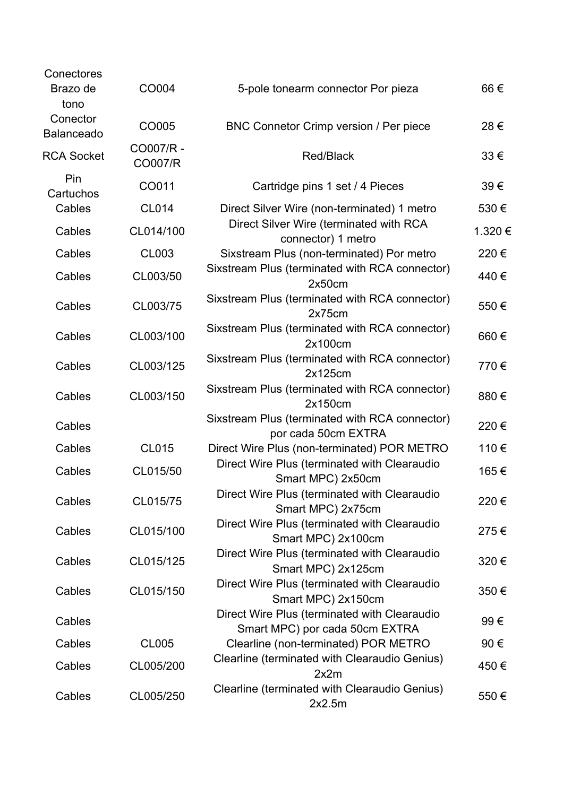| Conectores<br>Brazo de<br>tono | CO004                | 5-pole tonearm connector Por pieza                                             | 66€    |
|--------------------------------|----------------------|--------------------------------------------------------------------------------|--------|
| Conector<br><b>Balanceado</b>  | CO005                | BNC Connetor Crimp version / Per piece                                         | 28€    |
| <b>RCA Socket</b>              | CO007/R -<br>CO007/R | <b>Red/Black</b>                                                               | 33€    |
| Pin<br>Cartuchos               | CO011                | Cartridge pins 1 set / 4 Pieces                                                | 39€    |
| Cables                         | <b>CL014</b>         | Direct Silver Wire (non-terminated) 1 metro                                    | 530€   |
| Cables                         | CL014/100            | Direct Silver Wire (terminated with RCA<br>connector) 1 metro                  | 1.320€ |
| Cables                         | <b>CL003</b>         | Sixstream Plus (non-terminated) Por metro                                      | 220€   |
| Cables                         | CL003/50             | Sixstream Plus (terminated with RCA connector)<br>2x50cm                       | 440€   |
| Cables                         | CL003/75             | Sixstream Plus (terminated with RCA connector)<br>2x75cm                       | 550€   |
| Cables                         | CL003/100            | Sixstream Plus (terminated with RCA connector)<br>2x100cm                      | 660€   |
| Cables                         | CL003/125            | Sixstream Plus (terminated with RCA connector)<br>2x125cm                      | 770€   |
| Cables                         | CL003/150            | Sixstream Plus (terminated with RCA connector)<br>2x150cm                      | 880€   |
| Cables                         |                      | Sixstream Plus (terminated with RCA connector)<br>por cada 50cm EXTRA          | 220€   |
| Cables                         | <b>CL015</b>         | Direct Wire Plus (non-terminated) POR METRO                                    | 110€   |
| Cables                         | CL015/50             | Direct Wire Plus (terminated with Clearaudio<br>Smart MPC) 2x50cm              | 165€   |
| Cables                         | CL015/75             | Direct Wire Plus (terminated with Clearaudio<br>Smart MPC) 2x75cm              | 220€   |
| Cables                         | CL015/100            | Direct Wire Plus (terminated with Clearaudio<br>Smart MPC) 2x100cm             | 275€   |
| Cables                         | CL015/125            | Direct Wire Plus (terminated with Clearaudio<br>Smart MPC) 2x125cm             | 320€   |
| Cables                         | CL015/150            | Direct Wire Plus (terminated with Clearaudio<br>Smart MPC) 2x150cm             | 350€   |
| Cables                         |                      | Direct Wire Plus (terminated with Clearaudio<br>Smart MPC) por cada 50cm EXTRA | 99€    |
| Cables                         | <b>CL005</b>         | Clearline (non-terminated) POR METRO                                           | 90€    |
| Cables                         | CL005/200            | Clearline (terminated with Clearaudio Genius)<br>2x2m                          | 450€   |
| Cables                         | CL005/250            | Clearline (terminated with Clearaudio Genius)<br>2x2.5m                        | 550€   |